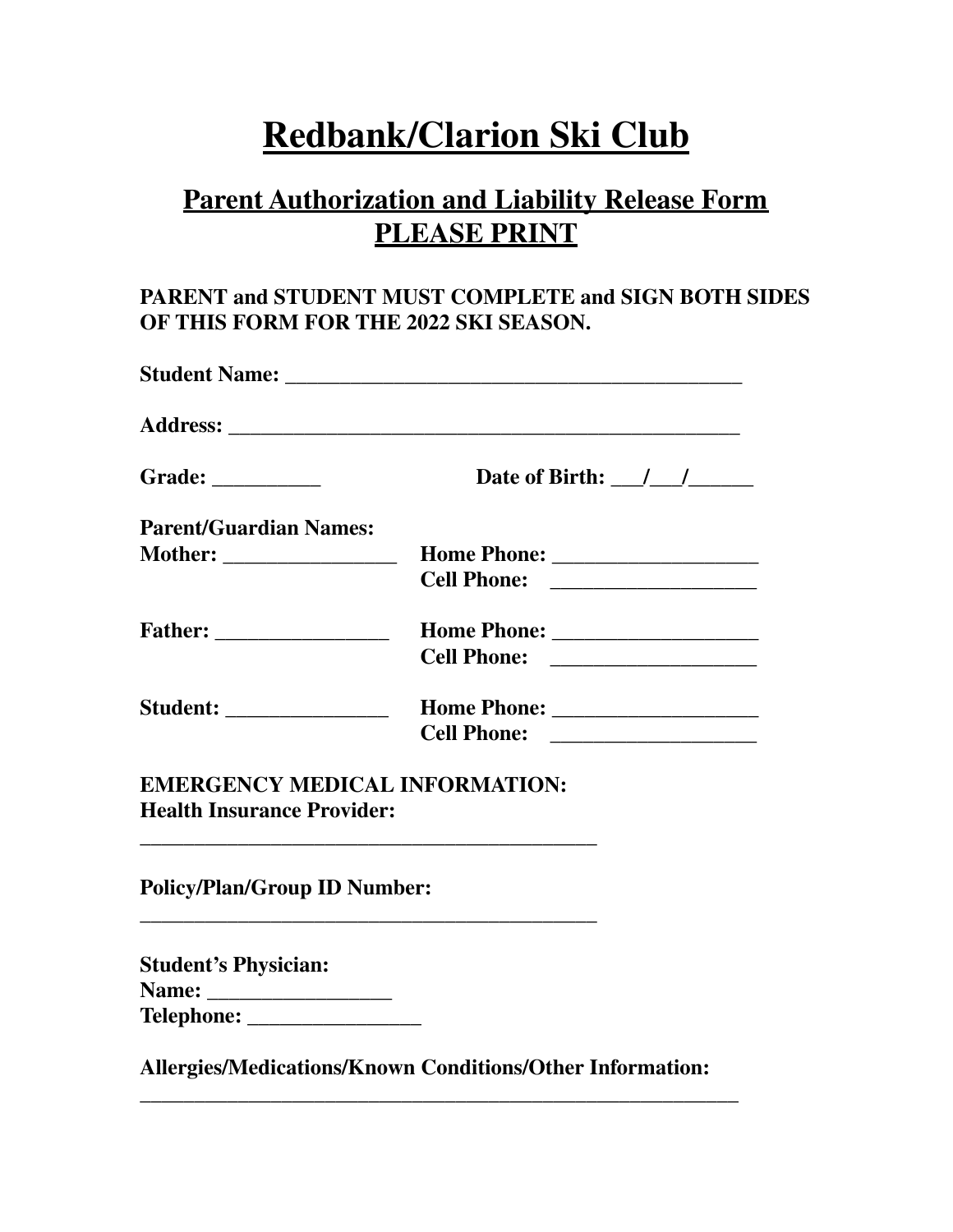# **Redbank/Clarion Ski Club**

## **Parent Authorization and Liability Release Form PLEASE PRINT**

### **PARENT and STUDENT MUST COMPLETE and SIGN BOTH SIDES OF THIS FORM FOR THE 2022 SKI SEASON.**

| Grade: $\_\_$                       | Date of Birth: $\frac{1}{\frac{1}{2}}$                                                                               |
|-------------------------------------|----------------------------------------------------------------------------------------------------------------------|
| <b>Parent/Guardian Names:</b>       |                                                                                                                      |
|                                     |                                                                                                                      |
|                                     |                                                                                                                      |
| <b>Father:</b> ___________________  |                                                                                                                      |
|                                     | <b>Cell Phone:</b> __________________                                                                                |
| <b>Student: __________________</b>  |                                                                                                                      |
|                                     |                                                                                                                      |
|                                     | <b>EMERGENCY MEDICAL INFORMATION:</b>                                                                                |
| <b>Health Insurance Provider:</b>   |                                                                                                                      |
| <b>Policy/Plan/Group ID Number:</b> |                                                                                                                      |
|                                     | <u> 1989 - Jan James James James James James James James James James James James James James James James James J</u> |
|                                     |                                                                                                                      |
| <b>Student's Physician:</b>         |                                                                                                                      |

**\_\_\_\_\_\_\_\_\_\_\_\_\_\_\_\_\_\_\_\_\_\_\_\_\_\_\_\_\_\_\_\_\_\_\_\_\_\_\_\_\_\_\_\_\_\_\_\_\_\_\_\_\_\_\_**